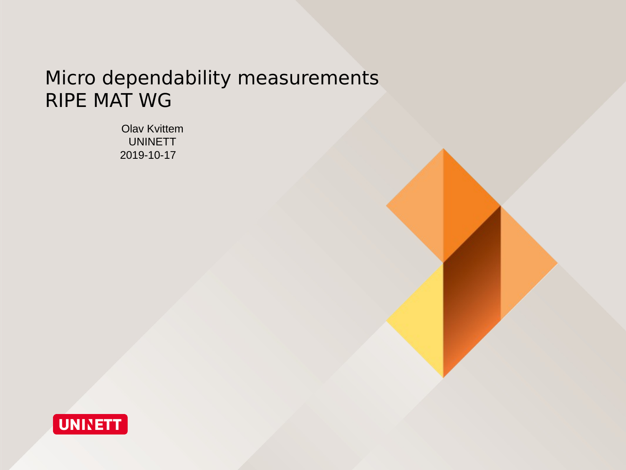### Micro dependability measurements RIPE MAT WG

Olav Kvittem UNINETT 2019-10-17

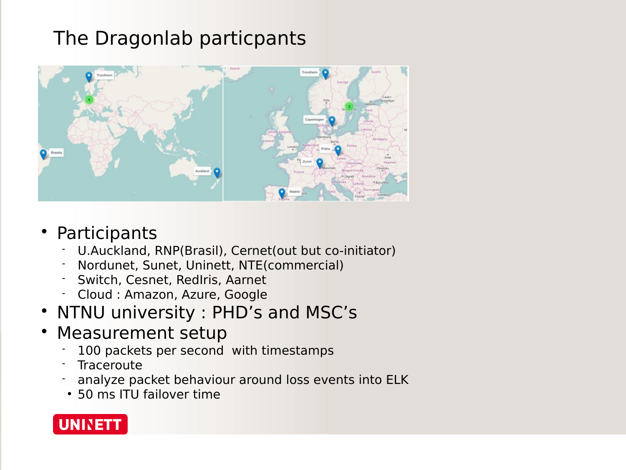### The Dragonlab particpants



### Participants

- U.Auckland, RNP(Brasil), Cernet(out but co-initiator)
- Nordunet, Sunet, Uninett, NTE(commercial)
- Switch, Cesnet, RedIris, Aarnet
- Cloud : Amazon, Azure, Google
- NTNU university : PHD's and MSC's
- Measurement setup
	- 100 packets per second with timestamps
	- **Traceroute**
	- analyze packet behaviour around loss events into ELK
	- 50 ms ITU failover time

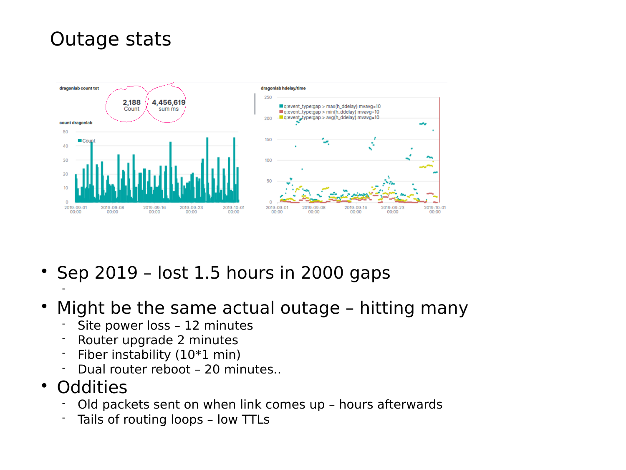### Outage stats



- $\cdot$  Sep 2019 lost 1.5 hours in 2000 gaps
- Might be the same actual outage hitting many
	- Site power loss 12 minutes
	- Router upgrade 2 minutes
	- $\blacksquare$  Fiber instability (10 $*1$  min)
	- Dual router reboot 20 minutes..
- Oddities

-

- Old packets sent on when link comes up hours afterwards
- Tails of routing loops low TTLs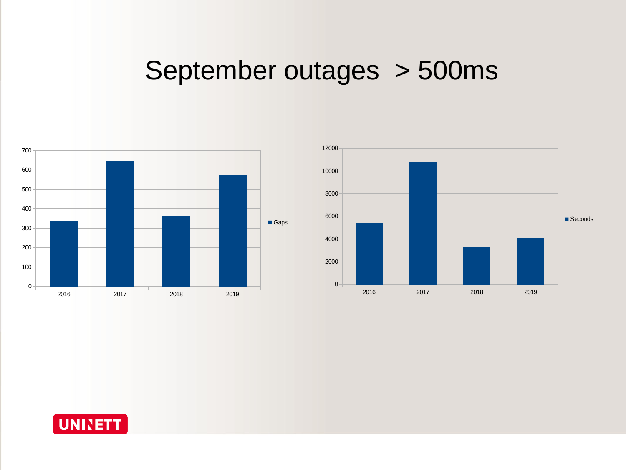# September outages > 500ms





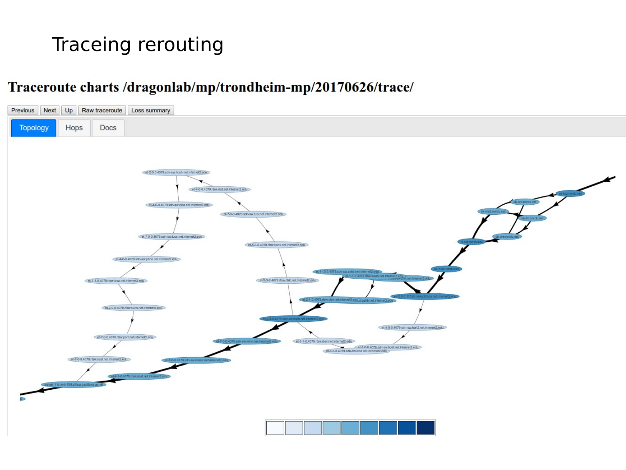# Traceing rerouting

#### Traceroute charts /dragonlab/mp/trondheim-mp/20170626/trace/

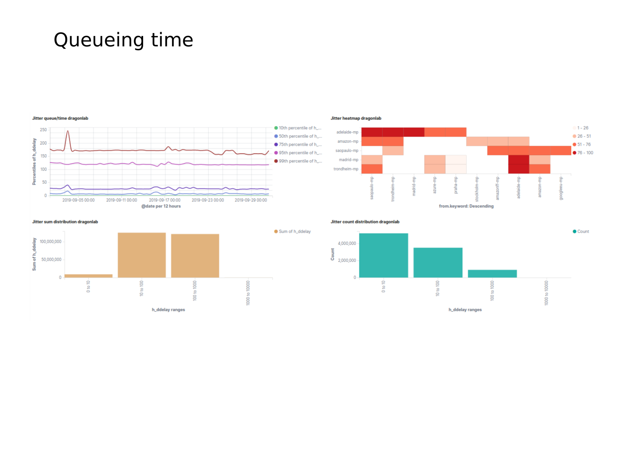## Queueing time



Jitter heatmap dragonlab



Jitter sum distribution dragonlab





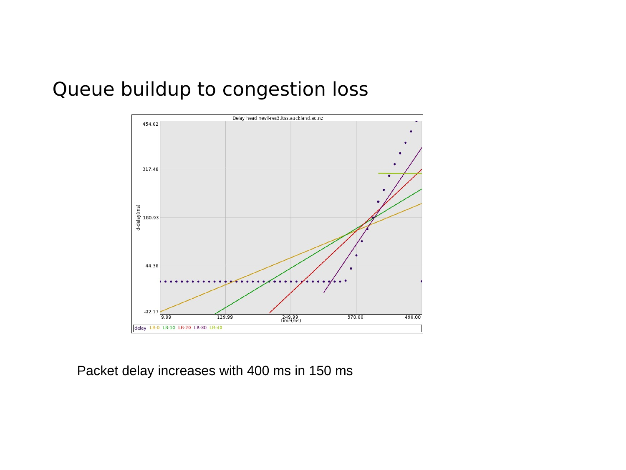### Queue buildup to congestion loss



Packet delay increases with 400 ms in 150 ms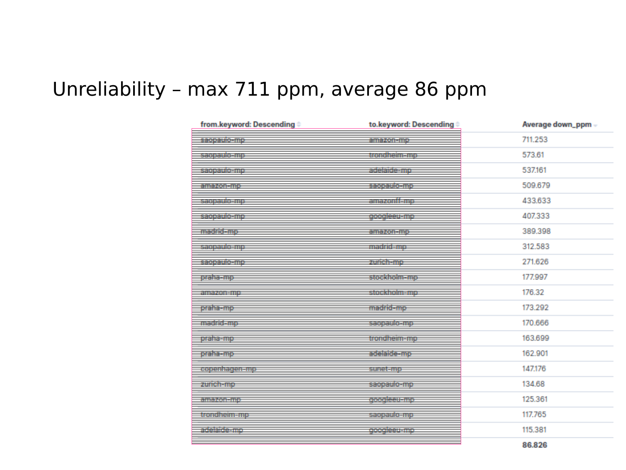### Unreliability – max 711 ppm, average 86 ppm

| from.keyword: Descending # | to.keyword: Descending # | Average down_ppm - |
|----------------------------|--------------------------|--------------------|
| saopaulo-mp                | amazoranip.              | 711.253            |
| sagaaticanja               | trondheim-mp             | 573.61             |
| istorialisen ja            | sceisiceanna.            | 537.161            |
| amazon-mp                  | saopaulo-mp              | 509,679            |
| iski politik Enjo          | amazonii-mp              | 433.633            |
| <u>saepaule-mp</u>         | googleeu-mp              | 407.333            |
| madrid-mp                  | amazon-mp                | 389,398            |
| saopaulo-mp                | madrid-mo-               | 312,583            |
| saopaulo-mp                | zurich-mp                | 271,626            |
| <u>praha=mp</u>            | stockholm-mp             | 177.997            |
| emezoremo.                 | stockholm-mo-            | 176.32             |
| praha-mp                   | madrid-mp                | 173,292            |
| madrid-mo                  | saopaulo-mpi             | 170,666            |
| <u>praha-mp</u>            | trondheim-mp             | 163,699            |
| praha-mp                   | adelaide-mp              | 162,901            |
| ra penisasa rana           | suneicmo                 | 147.176            |
| zurich-mp                  | saopaulo-mp              | 134,68             |
| en ezgisen e.              | acoaleeu-mp              | 125,361            |
| trondheim-mp               | saopaulo-mp              | 117.765            |
| adelaide-mp                | googleeu-mp              | 115,381            |
|                            |                          | 86.826             |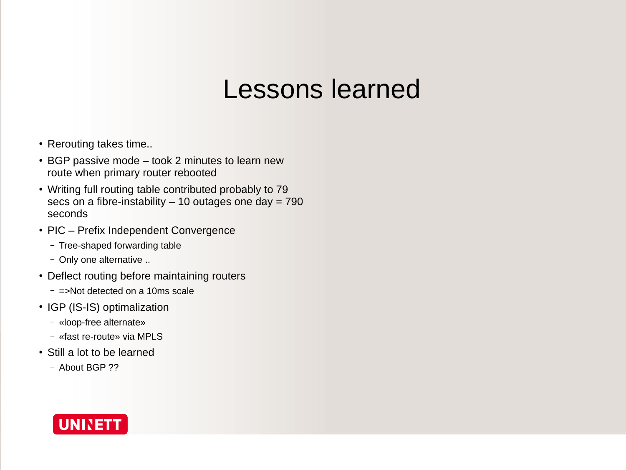# Lessons learned

- Rerouting takes time...
- BGP passive mode took 2 minutes to learn new route when primary router rebooted
- Writing full routing table contributed probably to 79 secs on a fibre-instability  $-10$  outages one day = 790 seconds
- PIC Prefix Independent Convergence
	- Tree-shaped forwarding table
	- Only one alternative ..
- Deflect routing before maintaining routers
	- =>Not detected on a 10ms scale
- IGP (IS-IS) optimalization
	- «loop-free alternate»
	- «fast re-route» via MPLS
- Still a lot to be learned
	- About BGP ??

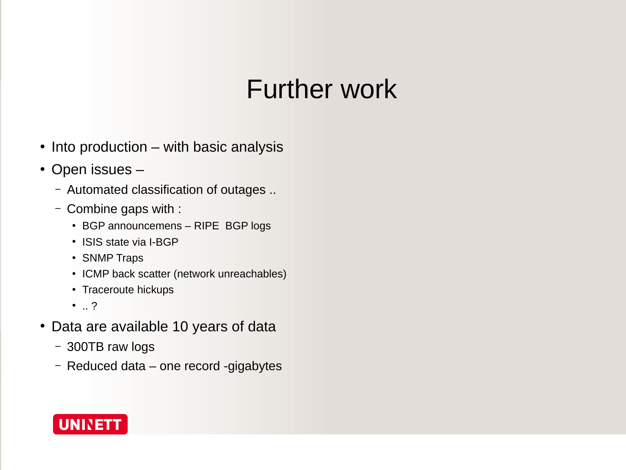# Further work

- Into production with basic analysis
- Open issues -
	- Automated classification of outages ..
	- Combine gaps with :
		- BGP announcemens RIPE BGP logs
		- ISIS state via I-BGP
		- SNMP Traps
		- ICMP back scatter (network unreachables)
		- Traceroute hickups
		- .. ?
- Data are available 10 years of data
	- 300TB raw logs
	- Reduced data one record -gigabytes

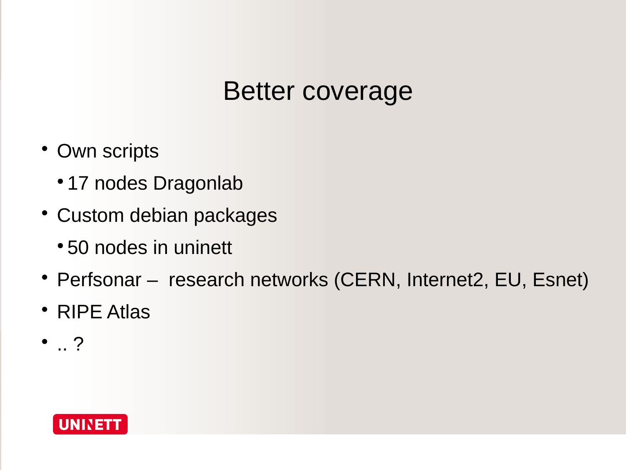# Better coverage

- Own scripts
	- 17 nodes Dragonlab
- Custom debian packages
	- 50 nodes in uninett
- Perfsonar research networks (CERN, Internet2, EU, Esnet)
- RIPE Atlas
- $\bullet$  ...?